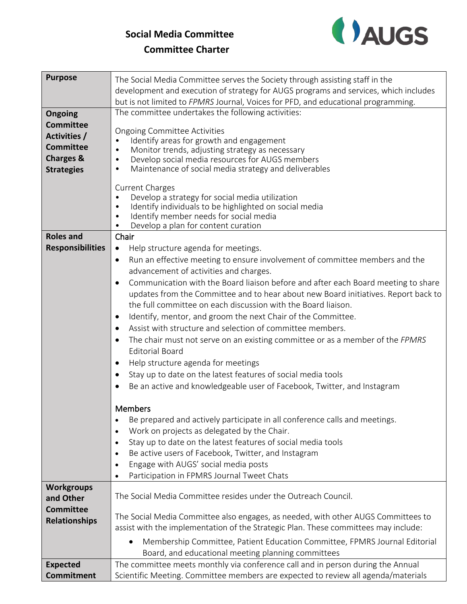## **Social Media Committee Committee Charter**



| <b>Purpose</b>          | The Social Media Committee serves the Society through assisting staff in the<br>development and execution of strategy for AUGS programs and services, which includes |
|-------------------------|----------------------------------------------------------------------------------------------------------------------------------------------------------------------|
|                         | but is not limited to FPMRS Journal, Voices for PFD, and educational programming.                                                                                    |
| Ongoing                 | The committee undertakes the following activities:                                                                                                                   |
| <b>Committee</b>        |                                                                                                                                                                      |
| <b>Activities /</b>     | <b>Ongoing Committee Activities</b>                                                                                                                                  |
| <b>Committee</b>        | Identify areas for growth and engagement<br>$\bullet$                                                                                                                |
| <b>Charges &amp;</b>    | Monitor trends, adjusting strategy as necessary<br>$\bullet$                                                                                                         |
| <b>Strategies</b>       | Develop social media resources for AUGS members<br>$\bullet$<br>Maintenance of social media strategy and deliverables<br>$\bullet$                                   |
|                         |                                                                                                                                                                      |
|                         | <b>Current Charges</b>                                                                                                                                               |
|                         | Develop a strategy for social media utilization<br>$\bullet$                                                                                                         |
|                         | Identify individuals to be highlighted on social media<br>$\bullet$                                                                                                  |
|                         | Identify member needs for social media<br>$\bullet$<br>Develop a plan for content curation<br>$\bullet$                                                              |
| <b>Roles and</b>        | Chair                                                                                                                                                                |
| <b>Responsibilities</b> | Help structure agenda for meetings.<br>$\bullet$                                                                                                                     |
|                         | $\bullet$                                                                                                                                                            |
|                         | Run an effective meeting to ensure involvement of committee members and the<br>advancement of activities and charges.                                                |
|                         |                                                                                                                                                                      |
|                         | Communication with the Board liaison before and after each Board meeting to share<br>$\bullet$                                                                       |
|                         | updates from the Committee and to hear about new Board initiatives. Report back to                                                                                   |
|                         | the full committee on each discussion with the Board liaison.                                                                                                        |
|                         | Identify, mentor, and groom the next Chair of the Committee.<br>$\bullet$                                                                                            |
|                         | Assist with structure and selection of committee members.<br>$\bullet$                                                                                               |
|                         | The chair must not serve on an existing committee or as a member of the FPMRS<br>$\bullet$                                                                           |
|                         | <b>Editorial Board</b>                                                                                                                                               |
|                         | Help structure agenda for meetings<br>$\bullet$                                                                                                                      |
|                         | Stay up to date on the latest features of social media tools<br>$\bullet$                                                                                            |
|                         | Be an active and knowledgeable user of Facebook, Twitter, and Instagram                                                                                              |
|                         |                                                                                                                                                                      |
|                         | <b>Members</b>                                                                                                                                                       |
|                         | Be prepared and actively participate in all conference calls and meetings.<br>$\bullet$                                                                              |
|                         | Work on projects as delegated by the Chair.                                                                                                                          |
|                         | Stay up to date on the latest features of social media tools<br>$\bullet$                                                                                            |
|                         | Be active users of Facebook, Twitter, and Instagram<br>$\bullet$                                                                                                     |
|                         | Engage with AUGS' social media posts<br>$\bullet$                                                                                                                    |
|                         | Participation in FPMRS Journal Tweet Chats                                                                                                                           |
| <b>Workgroups</b>       |                                                                                                                                                                      |
| and Other               | The Social Media Committee resides under the Outreach Council.                                                                                                       |
| <b>Committee</b>        | The Social Media Committee also engages, as needed, with other AUGS Committees to                                                                                    |
| <b>Relationships</b>    | assist with the implementation of the Strategic Plan. These committees may include:                                                                                  |
|                         |                                                                                                                                                                      |
|                         | Membership Committee, Patient Education Committee, FPMRS Journal Editorial<br>$\bullet$                                                                              |
|                         | Board, and educational meeting planning committees                                                                                                                   |
| <b>Expected</b>         | The committee meets monthly via conference call and in person during the Annual                                                                                      |
| Commitment              | Scientific Meeting. Committee members are expected to review all agenda/materials                                                                                    |